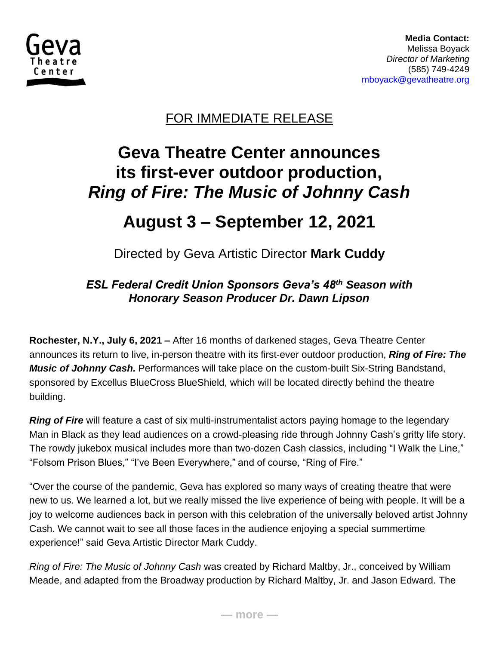

 **Media Contact:**  Melissa Boyack  *Director of Marketing* (585) 749-4249 [mboyack@gevatheatre.org](mailto:mboyack@gevatheatre.org)

### FOR IMMEDIATE RELEASE

# **Geva Theatre Center announces its first-ever outdoor production,** *Ring of Fire: The Music of Johnny Cash*

# **August 3 – September 12, 2021**

Directed by Geva Artistic Director **Mark Cuddy**

#### *ESL Federal Credit Union Sponsors Geva's 48th Season with Honorary Season Producer Dr. Dawn Lipson*

**Rochester, N.Y., July 6, 2021 –** After 16 months of darkened stages, Geva Theatre Center announces its return to live, in-person theatre with its first-ever outdoor production, *Ring of Fire: The Music of Johnny Cash.* Performances will take place on the custom-built Six-String Bandstand, sponsored by Excellus BlueCross BlueShield, which will be located directly behind the theatre building.

*Ring of Fire* will feature a cast of six multi-instrumentalist actors paying homage to the legendary Man in Black as they lead audiences on a crowd-pleasing ride through Johnny Cash's gritty life story. The rowdy jukebox musical includes more than two-dozen Cash classics, including "I Walk the Line," "Folsom Prison Blues," "I've Been Everywhere," and of course, "Ring of Fire."

"Over the course of the pandemic, Geva has explored so many ways of creating theatre that were new to us. We learned a lot, but we really missed the live experience of being with people. It will be a joy to welcome audiences back in person with this celebration of the universally beloved artist Johnny Cash. We cannot wait to see all those faces in the audience enjoying a special summertime experience!" said Geva Artistic Director Mark Cuddy.

*Ring of Fire: The Music of Johnny Cash* was created by Richard Maltby, Jr., conceived by William Meade, and adapted from the Broadway production by Richard Maltby, Jr. and Jason Edward. The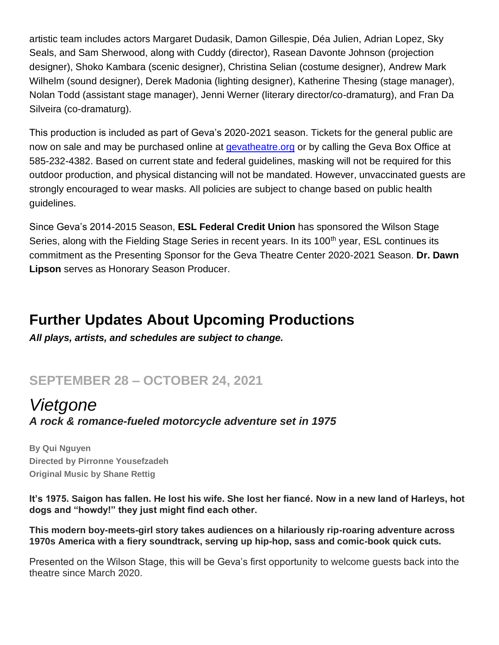artistic team includes actors Margaret Dudasik, Damon Gillespie, Déa Julien, Adrian Lopez, Sky Seals, and Sam Sherwood, along with Cuddy (director), Rasean Davonte Johnson (projection designer), Shoko Kambara (scenic designer), Christina Selian (costume designer), Andrew Mark Wilhelm (sound designer), Derek Madonia (lighting designer), Katherine Thesing (stage manager), Nolan Todd (assistant stage manager), Jenni Werner (literary director/co-dramaturg), and Fran Da Silveira (co-dramaturg).

This production is included as part of Geva's 2020-2021 season. Tickets for the general public are now on sale and may be purchased online at *gevatheatre.org* or by calling the Geva Box Office at 585-232-4382. Based on current state and federal guidelines, masking will not be required for this outdoor production, and physical distancing will not be mandated. However, unvaccinated guests are strongly encouraged to wear masks. All policies are subject to change based on public health guidelines.

Since Geva's 2014-2015 Season, **ESL Federal Credit Union** has sponsored the Wilson Stage Series, along with the Fielding Stage Series in recent years. In its 100<sup>th</sup> year, ESL continues its commitment as the Presenting Sponsor for the Geva Theatre Center 2020-2021 Season. **Dr. Dawn Lipson** serves as Honorary Season Producer.

# **Further Updates About Upcoming Productions**

*All plays, artists, and schedules are subject to change.*

# **SEPTEMBER 28 – OCTOBER 24, 2021**

#### *Vietgone A rock & romance-fueled motorcycle adventure set in 1975*

**By Qui Nguyen Directed by Pirronne Yousefzadeh Original Music by Shane Rettig**

**It's 1975. Saigon has fallen. He lost his wife. She lost her fiancé. Now in a new land of Harleys, hot dogs and "howdy!" they just might find each other.** 

**This modern boy-meets-girl story takes audiences on a hilariously rip-roaring adventure across 1970s America with a fiery soundtrack, serving up hip-hop, sass and comic-book quick cuts.** 

Presented on the Wilson Stage, this will be Geva's first opportunity to welcome guests back into the theatre since March 2020.